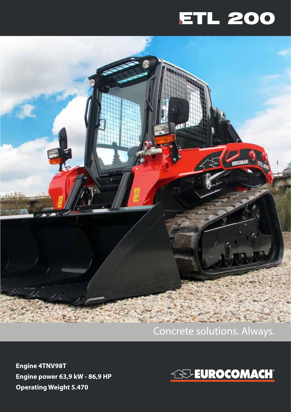## ETL 200



## Concrete solutions. Always.

**Engine 4TNV98T Engine power 63,9 kW - 86,9 HP Operating Weight 5.470**